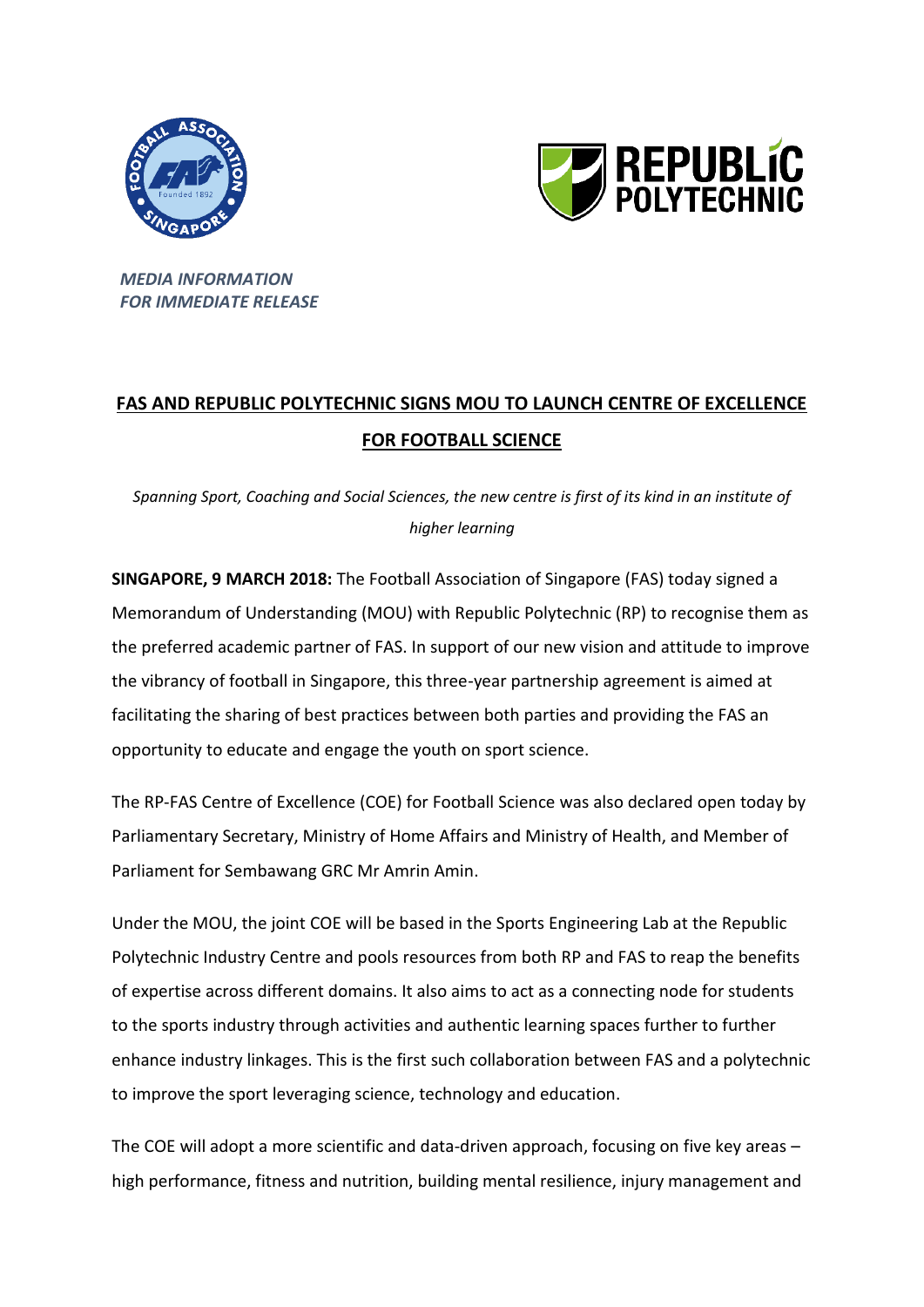



*MEDIA INFORMATION FOR IMMEDIATE RELEASE*

# **FAS AND REPUBLIC POLYTECHNIC SIGNS MOU TO LAUNCH CENTRE OF EXCELLENCE FOR FOOTBALL SCIENCE**

*Spanning Sport, Coaching and Social Sciences, the new centre is first of its kind in an institute of higher learning*

**SINGAPORE, 9 MARCH 2018:** The Football Association of Singapore (FAS) today signed a Memorandum of Understanding (MOU) with Republic Polytechnic (RP) to recognise them as the preferred academic partner of FAS. In support of our new vision and attitude to improve the vibrancy of football in Singapore, this three-year partnership agreement is aimed at facilitating the sharing of best practices between both parties and providing the FAS an opportunity to educate and engage the youth on sport science.

The RP-FAS Centre of Excellence (COE) for Football Science was also declared open today by Parliamentary Secretary, Ministry of Home Affairs and Ministry of Health, and Member of Parliament for Sembawang GRC Mr Amrin Amin.

Under the MOU, the joint COE will be based in the Sports Engineering Lab at the Republic Polytechnic Industry Centre and pools resources from both RP and FAS to reap the benefits of expertise across different domains. It also aims to act as a connecting node for students to the sports industry through activities and authentic learning spaces further to further enhance industry linkages. This is the first such collaboration between FAS and a polytechnic to improve the sport leveraging science, technology and education.

The COE will adopt a more scientific and data-driven approach, focusing on five key areas – high performance, fitness and nutrition, building mental resilience, injury management and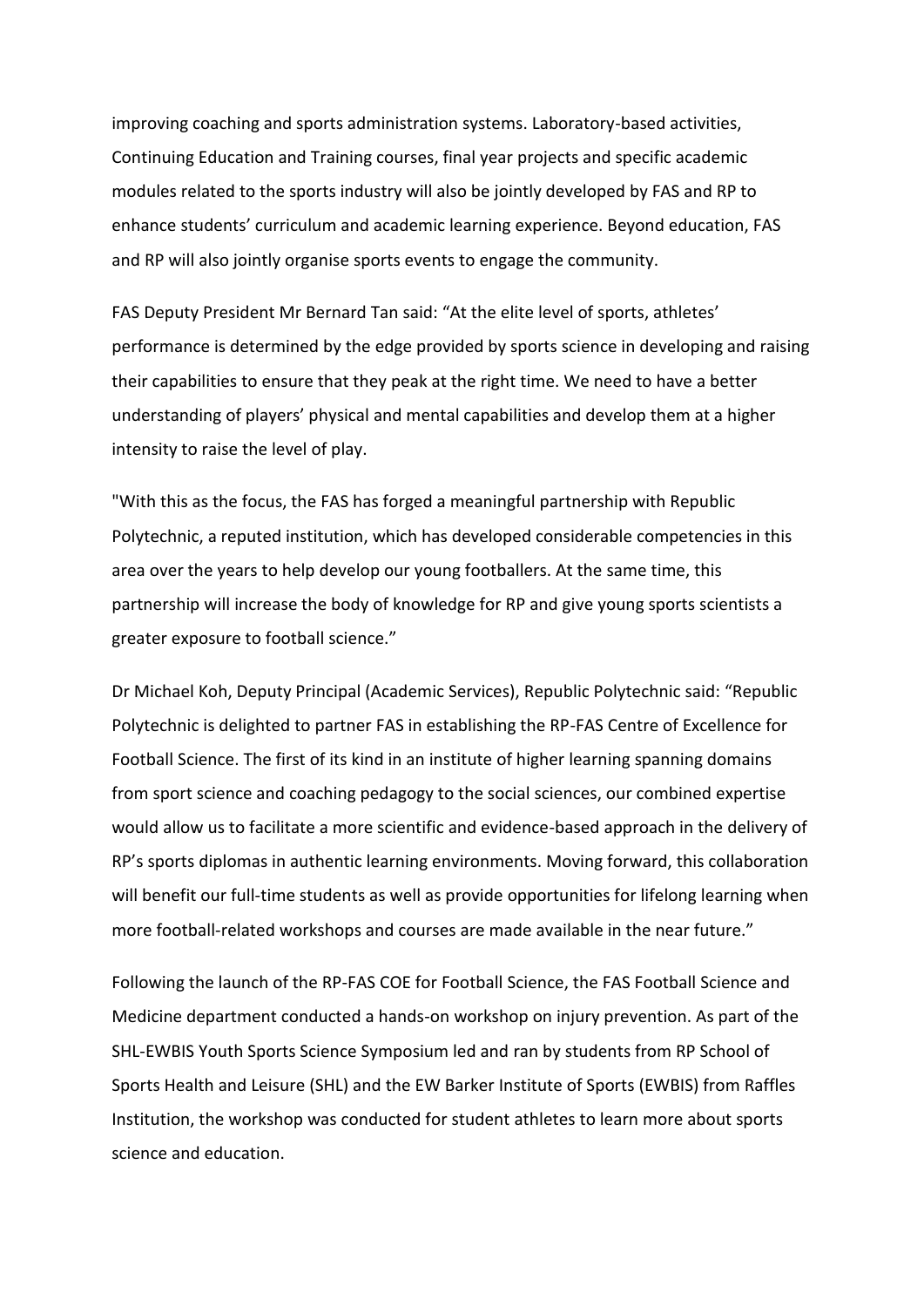improving coaching and sports administration systems. Laboratory-based activities, Continuing Education and Training courses, final year projects and specific academic modules related to the sports industry will also be jointly developed by FAS and RP to enhance students' curriculum and academic learning experience. Beyond education, FAS and RP will also jointly organise sports events to engage the community.

FAS Deputy President Mr Bernard Tan said: "At the elite level of sports, athletes' performance is determined by the edge provided by sports science in developing and raising their capabilities to ensure that they peak at the right time. We need to have a better understanding of players' physical and mental capabilities and develop them at a higher intensity to raise the level of play.

"With this as the focus, the FAS has forged a meaningful partnership with Republic Polytechnic, a reputed institution, which has developed considerable competencies in this area over the years to help develop our young footballers. At the same time, this partnership will increase the body of knowledge for RP and give young sports scientists a greater exposure to football science."

Dr Michael Koh, Deputy Principal (Academic Services), Republic Polytechnic said: "Republic Polytechnic is delighted to partner FAS in establishing the RP-FAS Centre of Excellence for Football Science. The first of its kind in an institute of higher learning spanning domains from sport science and coaching pedagogy to the social sciences, our combined expertise would allow us to facilitate a more scientific and evidence-based approach in the delivery of RP's sports diplomas in authentic learning environments. Moving forward, this collaboration will benefit our full-time students as well as provide opportunities for lifelong learning when more football-related workshops and courses are made available in the near future."

Following the launch of the RP-FAS COE for Football Science, the FAS Football Science and Medicine department conducted a hands-on workshop on injury prevention. As part of the SHL-EWBIS Youth Sports Science Symposium led and ran by students from RP School of Sports Health and Leisure (SHL) and the EW Barker Institute of Sports (EWBIS) from Raffles Institution, the workshop was conducted for student athletes to learn more about sports science and education.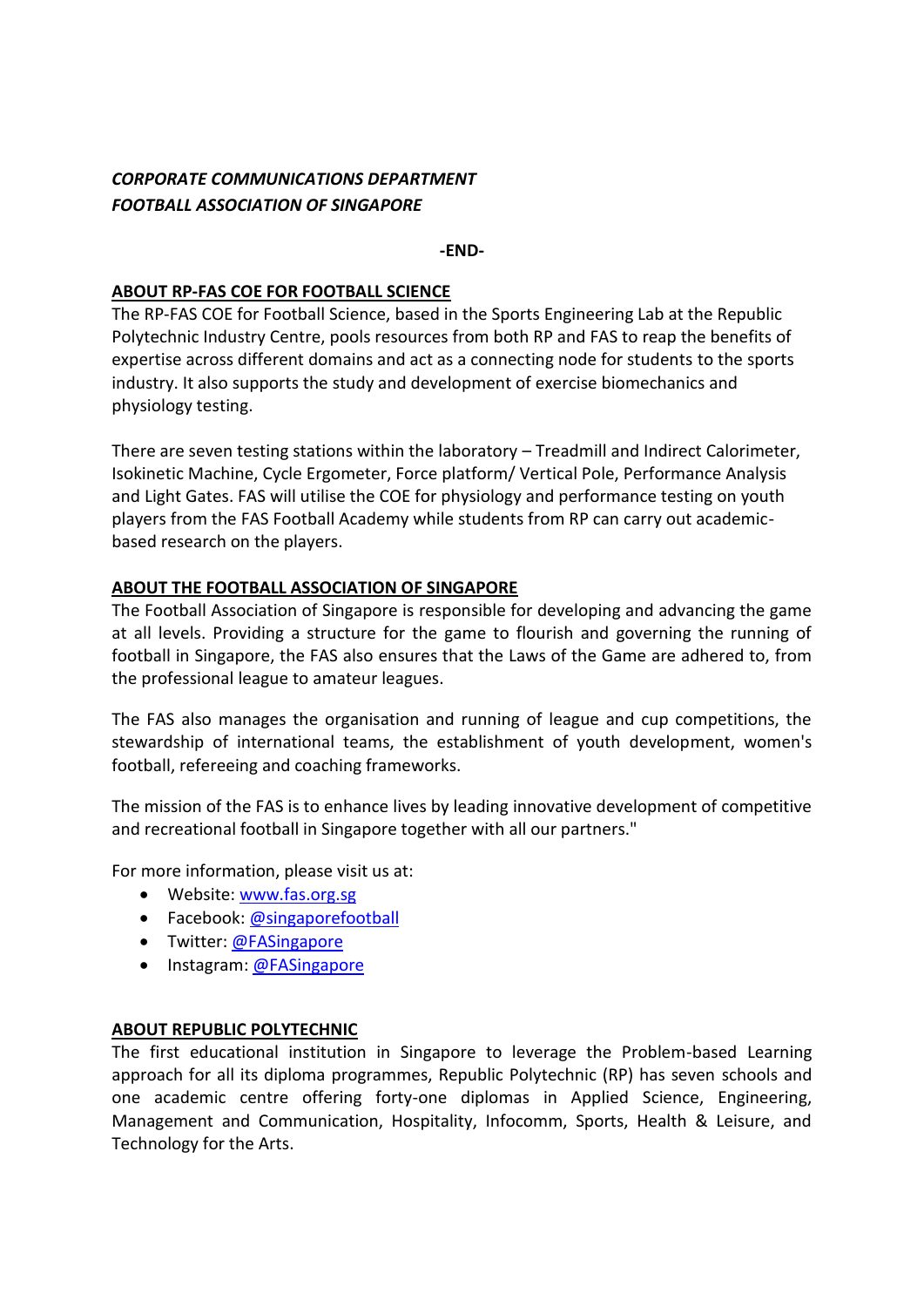# *CORPORATE COMMUNICATIONS DEPARTMENT FOOTBALL ASSOCIATION OF SINGAPORE*

## **-END-**

# **ABOUT RP-FAS COE FOR FOOTBALL SCIENCE**

The RP-FAS COE for Football Science, based in the Sports Engineering Lab at the Republic Polytechnic Industry Centre, pools resources from both RP and FAS to reap the benefits of expertise across different domains and act as a connecting node for students to the sports industry. It also supports the study and development of exercise biomechanics and physiology testing.

There are seven testing stations within the laboratory – Treadmill and Indirect Calorimeter, Isokinetic Machine, Cycle Ergometer, Force platform/ Vertical Pole, Performance Analysis and Light Gates. FAS will utilise the COE for physiology and performance testing on youth players from the FAS Football Academy while students from RP can carry out academicbased research on the players.

# **ABOUT THE FOOTBALL ASSOCIATION OF SINGAPORE**

The Football Association of Singapore is responsible for developing and advancing the game at all levels. Providing a structure for the game to flourish and governing the running of football in Singapore, the FAS also ensures that the Laws of the Game are adhered to, from the professional league to amateur leagues.

The FAS also manages the organisation and running of league and cup competitions, the stewardship of international teams, the establishment of youth development, women's football, refereeing and coaching frameworks.

The mission of the FAS is to enhance lives by leading innovative development of competitive and recreational football in Singapore together with all our partners."

For more information, please visit us at:

- Website: [www.fas.org.sg](http://www.fas.org.sg/)
- Facebook[: @singaporefootball](https://www.facebook.com/singaporefootball/)
- Twitter: [@FASingapore](https://twitter.com/FASingapore)
- Instagram: [@FASingapore](https://www.instagram.com/fasingapore/)

## **ABOUT REPUBLIC POLYTECHNIC**

The first educational institution in Singapore to leverage the Problem-based Learning approach for all its diploma programmes, Republic Polytechnic (RP) has seven schools and one academic centre offering forty-one diplomas in Applied Science, Engineering, Management and Communication, Hospitality, Infocomm, Sports, Health & Leisure, and Technology for the Arts.